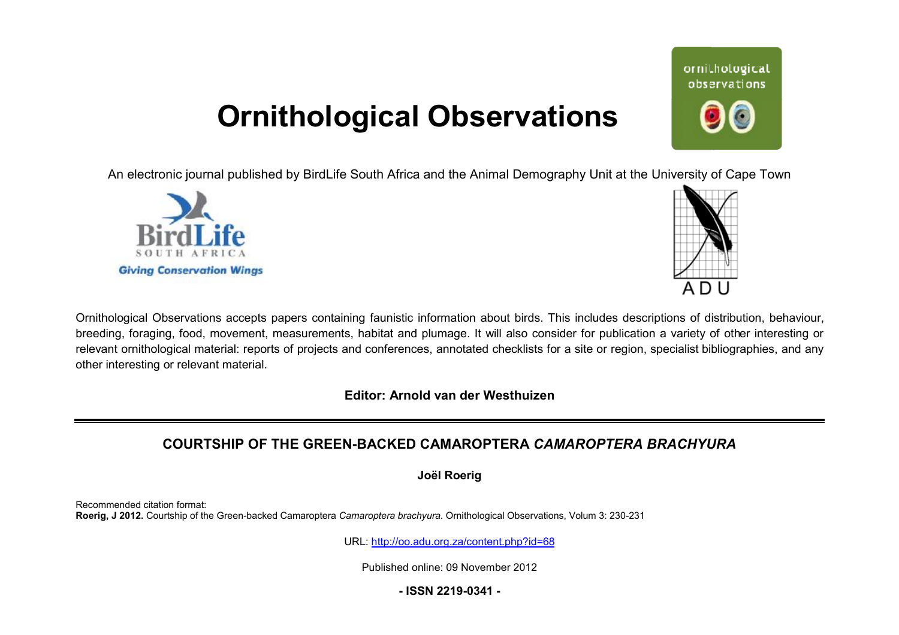## **Ornithological Observations**

An electronic journal published by BirdLife South Africa and the Animal Demography Unit at the University of Cape Town





Ornithological Observations accepts papers containing faunistic information about birds. This includes descriptions of distribution, behaviour, breeding, foraging, food, movement, measurements, habitat and plumage. It will also consider for publication a variety of other interesting or relevant ornithological material: reports of projects and conferences, annotated checklists for a site or region, specialist bibliographies, and any other interesting or relevant material.

**Editor: Arnold van der Westhuizen**

### **COURTSHIP OF THE GREEN-BACK BACKED CAMAROPTERA** *CAMAROPTERA BRACHYUR BRACHYURA*

**Joël Roerig** 

Recommended citation format: **Roerig, J 2012.** Courtship of the Green-backed Camaroptera *Camaroptera brachyura* . Ornithological Observations, Volum 3: 230-231

URL: <http://oo.adu.org.za/content.php?id=68>

Published online: 09 November 2012

**- ISSN 2219-0341 -** 

# ornithological observations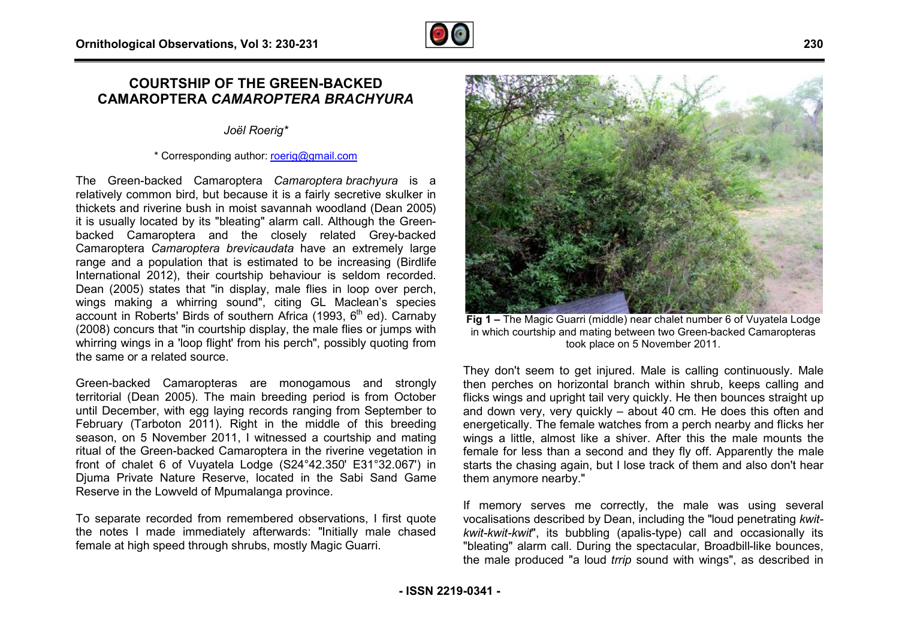#### **COURTSHIP OF THE GREEN-BACKED BACKED CAMAROPTERA** *CAMAROPTERA BRACHYUR BRACHYURA*

#### *Joël Roerig\**

#### \* Corresponding author: [roerig@gmail.com](mailto:roerig@gmail.com)

The Green-backed Camaroptera *Camaroptera brachyura* is a relatively common bird, but because it is a fairly secretive skulker in thickets and riverine bush in moist savannah woodland (Dean 2005) it is usually located by its "bleating" alarm call. Although the Green Greenbacked Camaroptera and the closely related Grey Grey-backed Camaroptera *Camaroptera brevicaudata* have an extremely large range and a population that is estimated to be increasing (Birdlife International 2012), their courtship behaviour is seldom recorded. Dean (2005) states that "in display, male flies in loop over perch, Dean (2005) states that "in display, male flies in loop over perch,<br>wings making a whirring sound", citing GL Maclean's species account in Roberts' Birds of southern Africa (1993,  $6<sup>th</sup>$  ed). Carnaby (2008) concurs that "in courtship display, the male flies or jumps with whirring wings in a 'loop flight' from his perch", possibly quoting from the same or a related source. (2008) concurs that "in courtship display, the male flies or jumps with<br>whirring wings in a 'loop flight' from his perch", possibly quoting from<br>the same or a related source.<br>Green-backed Camaropteras are monogamous and st

Green-backed Camaropteras are monogamous and strongly until December, with egg laying records ranging from September to February (Tarboton 2011). Right in the middle of this breeding season, on 5 November 2011, I witnessed a courtship and mating ritual of the Green-backed Camaroptera in the riverine vegetation in ritual of the Green-backed Camaroptera in the riverine vegetation in<br>front of chalet 6 of Vuyatela Lodge (S24°42.350' E31°32.067') in Djuma Private Nature Reserve, located in the Sabi Sand Game Reserve in the Lowveld of Mpumalanga province.

To separate recorded from remembered observations, I first quote the notes I made immediately afterwards: "Initially male chased female at high speed through shrubs, mostly Magic Guarri.



**Eig 1 – The Magic Guarri (middle) near chalet number 6 of Vuyatela Lodge**<br>ale flies or jumps with<br>possibly quoting from<br>the in which courtship and mating between two Green-backed Camaropteras<br>possibly quoting from<br>They d They don't seem to get injured. Male is calling continuously. Male then perches on horizontal branch within shrub, keeps calling and flicks wings and upright tail very quickly. He then bounces straight up and down very, very quickly – about 40 cm. He does this often and energetically. The female watches from a perch nearby and flicks her wings a little, almost like a shiver. After this the male mounts the female for less than a second and they fly off. Apparently the male flicks wings and upright tail very quickly. He then bounces straight up<br>and down very, very quickly – about 40 cm. He does this often and<br>energetically. The female watches from a perch nearby and flicks her<br>wings a little, them anymore nearby."

If memory serves me correctly, the male was using several vocalisations described by Dean, including the "loud penetrating kwit*kwit-kwit-kwit*", its bubbling (apalis-type) call and occasionally its kwit-kwit-kwit", its bubbling (apalis-type) call and occasionally its<br>"bleating" alarm call. During the spectacular, Broadbill-like bounces, the male produced "a loud *trrip* sound with wings", as described in